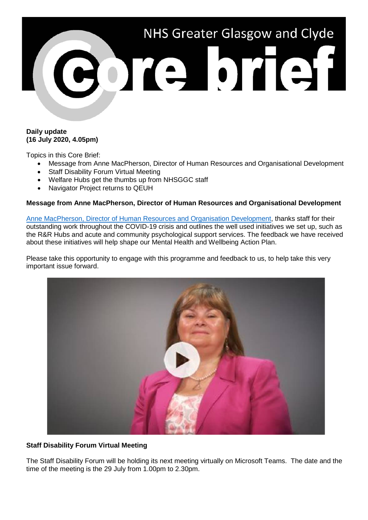

# **Daily update (16 July 2020, 4.05pm)**

Topics in this Core Brief:

- Message from Anne MacPherson, Director of Human Resources and Organisational Development
- Staff Disability Forum Virtual Meeting
- Welfare Hubs get the thumbs up from NHSGGC staff
- Navigator Project returns to QEUH

# **Message from Anne MacPherson, Director of Human Resources and Organisational Development**

[Anne MacPherson, Director of Human Resources and Organisation Development,](https://www.youtube.com/watch?v=5v_f54PJYJY&) thanks staff for their outstanding work throughout the COVID-19 crisis and outlines the well used initiatives we set up, such as the R&R Hubs and acute and community psychological support services. The feedback we have received about these initiatives will help shape our Mental Health and Wellbeing Action Plan.

Please take this opportunity to engage with this programme and feedback to us, to help take this very important issue forward.



# **Staff Disability Forum Virtual Meeting**

The Staff Disability Forum will be holding its next meeting virtually on Microsoft Teams. The date and the time of the meeting is the 29 July from 1.00pm to 2.30pm.